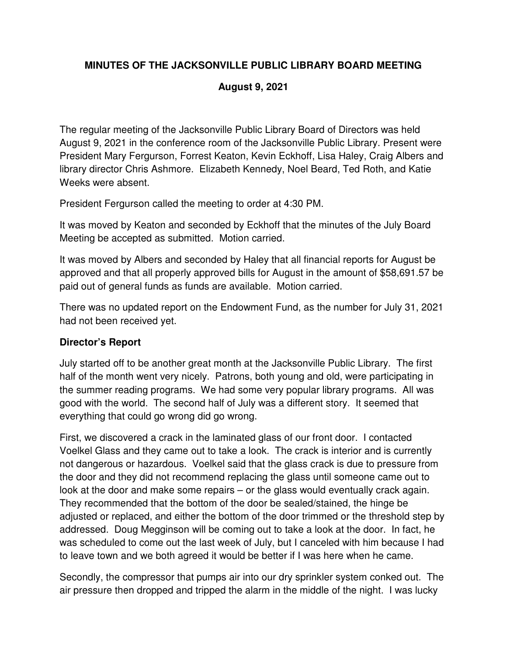# **MINUTES OF THE JACKSONVILLE PUBLIC LIBRARY BOARD MEETING**

## **August 9, 2021**

The regular meeting of the Jacksonville Public Library Board of Directors was held August 9, 2021 in the conference room of the Jacksonville Public Library. Present were President Mary Fergurson, Forrest Keaton, Kevin Eckhoff, Lisa Haley, Craig Albers and library director Chris Ashmore. Elizabeth Kennedy, Noel Beard, Ted Roth, and Katie Weeks were absent.

President Fergurson called the meeting to order at 4:30 PM.

It was moved by Keaton and seconded by Eckhoff that the minutes of the July Board Meeting be accepted as submitted. Motion carried.

It was moved by Albers and seconded by Haley that all financial reports for August be approved and that all properly approved bills for August in the amount of \$58,691.57 be paid out of general funds as funds are available. Motion carried.

There was no updated report on the Endowment Fund, as the number for July 31, 2021 had not been received yet.

# **Director's Report**

July started off to be another great month at the Jacksonville Public Library. The first half of the month went very nicely. Patrons, both young and old, were participating in the summer reading programs. We had some very popular library programs. All was good with the world. The second half of July was a different story. It seemed that everything that could go wrong did go wrong.

First, we discovered a crack in the laminated glass of our front door. I contacted Voelkel Glass and they came out to take a look. The crack is interior and is currently not dangerous or hazardous. Voelkel said that the glass crack is due to pressure from the door and they did not recommend replacing the glass until someone came out to look at the door and make some repairs – or the glass would eventually crack again. They recommended that the bottom of the door be sealed/stained, the hinge be adjusted or replaced, and either the bottom of the door trimmed or the threshold step by addressed. Doug Megginson will be coming out to take a look at the door. In fact, he was scheduled to come out the last week of July, but I canceled with him because I had to leave town and we both agreed it would be better if I was here when he came.

Secondly, the compressor that pumps air into our dry sprinkler system conked out. The air pressure then dropped and tripped the alarm in the middle of the night. I was lucky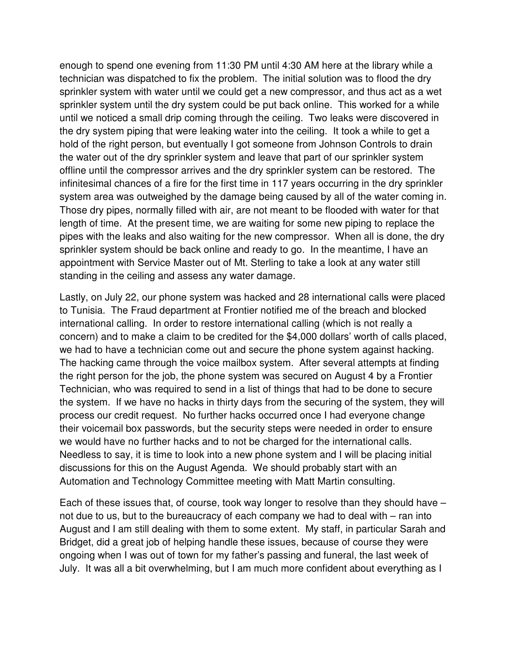enough to spend one evening from 11:30 PM until 4:30 AM here at the library while a technician was dispatched to fix the problem. The initial solution was to flood the dry sprinkler system with water until we could get a new compressor, and thus act as a wet sprinkler system until the dry system could be put back online. This worked for a while until we noticed a small drip coming through the ceiling. Two leaks were discovered in the dry system piping that were leaking water into the ceiling. It took a while to get a hold of the right person, but eventually I got someone from Johnson Controls to drain the water out of the dry sprinkler system and leave that part of our sprinkler system offline until the compressor arrives and the dry sprinkler system can be restored. The infinitesimal chances of a fire for the first time in 117 years occurring in the dry sprinkler system area was outweighed by the damage being caused by all of the water coming in. Those dry pipes, normally filled with air, are not meant to be flooded with water for that length of time. At the present time, we are waiting for some new piping to replace the pipes with the leaks and also waiting for the new compressor. When all is done, the dry sprinkler system should be back online and ready to go. In the meantime, I have an appointment with Service Master out of Mt. Sterling to take a look at any water still standing in the ceiling and assess any water damage.

Lastly, on July 22, our phone system was hacked and 28 international calls were placed to Tunisia. The Fraud department at Frontier notified me of the breach and blocked international calling. In order to restore international calling (which is not really a concern) and to make a claim to be credited for the \$4,000 dollars' worth of calls placed, we had to have a technician come out and secure the phone system against hacking. The hacking came through the voice mailbox system. After several attempts at finding the right person for the job, the phone system was secured on August 4 by a Frontier Technician, who was required to send in a list of things that had to be done to secure the system. If we have no hacks in thirty days from the securing of the system, they will process our credit request. No further hacks occurred once I had everyone change their voicemail box passwords, but the security steps were needed in order to ensure we would have no further hacks and to not be charged for the international calls. Needless to say, it is time to look into a new phone system and I will be placing initial discussions for this on the August Agenda. We should probably start with an Automation and Technology Committee meeting with Matt Martin consulting.

Each of these issues that, of course, took way longer to resolve than they should have – not due to us, but to the bureaucracy of each company we had to deal with – ran into August and I am still dealing with them to some extent. My staff, in particular Sarah and Bridget, did a great job of helping handle these issues, because of course they were ongoing when I was out of town for my father's passing and funeral, the last week of July. It was all a bit overwhelming, but I am much more confident about everything as I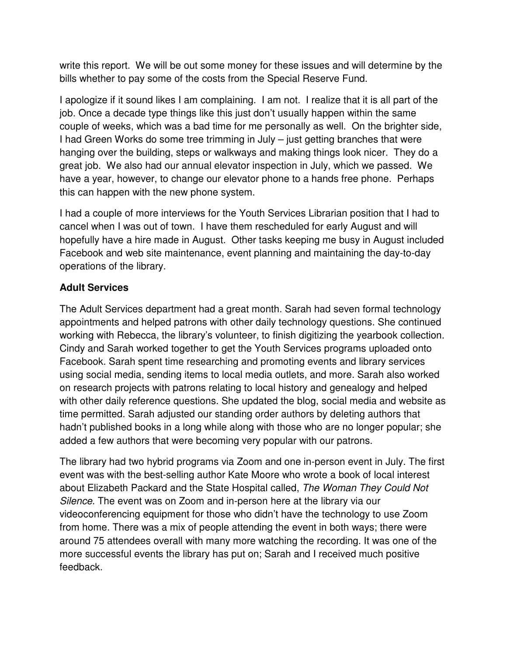write this report. We will be out some money for these issues and will determine by the bills whether to pay some of the costs from the Special Reserve Fund.

I apologize if it sound likes I am complaining. I am not. I realize that it is all part of the job. Once a decade type things like this just don't usually happen within the same couple of weeks, which was a bad time for me personally as well. On the brighter side, I had Green Works do some tree trimming in July – just getting branches that were hanging over the building, steps or walkways and making things look nicer. They do a great job. We also had our annual elevator inspection in July, which we passed. We have a year, however, to change our elevator phone to a hands free phone. Perhaps this can happen with the new phone system.

I had a couple of more interviews for the Youth Services Librarian position that I had to cancel when I was out of town. I have them rescheduled for early August and will hopefully have a hire made in August. Other tasks keeping me busy in August included Facebook and web site maintenance, event planning and maintaining the day-to-day operations of the library.

## **Adult Services**

The Adult Services department had a great month. Sarah had seven formal technology appointments and helped patrons with other daily technology questions. She continued working with Rebecca, the library's volunteer, to finish digitizing the yearbook collection. Cindy and Sarah worked together to get the Youth Services programs uploaded onto Facebook. Sarah spent time researching and promoting events and library services using social media, sending items to local media outlets, and more. Sarah also worked on research projects with patrons relating to local history and genealogy and helped with other daily reference questions. She updated the blog, social media and website as time permitted. Sarah adjusted our standing order authors by deleting authors that hadn't published books in a long while along with those who are no longer popular; she added a few authors that were becoming very popular with our patrons.

The library had two hybrid programs via Zoom and one in-person event in July. The first event was with the best-selling author Kate Moore who wrote a book of local interest about Elizabeth Packard and the State Hospital called, The Woman They Could Not Silence. The event was on Zoom and in-person here at the library via our videoconferencing equipment for those who didn't have the technology to use Zoom from home. There was a mix of people attending the event in both ways; there were around 75 attendees overall with many more watching the recording. It was one of the more successful events the library has put on; Sarah and I received much positive feedback.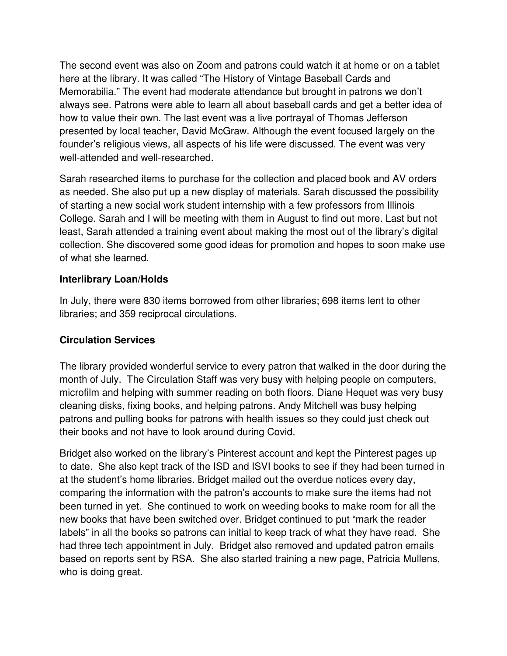The second event was also on Zoom and patrons could watch it at home or on a tablet here at the library. It was called "The History of Vintage Baseball Cards and Memorabilia." The event had moderate attendance but brought in patrons we don't always see. Patrons were able to learn all about baseball cards and get a better idea of how to value their own. The last event was a live portrayal of Thomas Jefferson presented by local teacher, David McGraw. Although the event focused largely on the founder's religious views, all aspects of his life were discussed. The event was very well-attended and well-researched.

Sarah researched items to purchase for the collection and placed book and AV orders as needed. She also put up a new display of materials. Sarah discussed the possibility of starting a new social work student internship with a few professors from Illinois College. Sarah and I will be meeting with them in August to find out more. Last but not least, Sarah attended a training event about making the most out of the library's digital collection. She discovered some good ideas for promotion and hopes to soon make use of what she learned.

## **Interlibrary Loan/Holds**

In July, there were 830 items borrowed from other libraries; 698 items lent to other libraries; and 359 reciprocal circulations.

# **Circulation Services**

The library provided wonderful service to every patron that walked in the door during the month of July. The Circulation Staff was very busy with helping people on computers, microfilm and helping with summer reading on both floors. Diane Hequet was very busy cleaning disks, fixing books, and helping patrons. Andy Mitchell was busy helping patrons and pulling books for patrons with health issues so they could just check out their books and not have to look around during Covid.

Bridget also worked on the library's Pinterest account and kept the Pinterest pages up to date. She also kept track of the ISD and ISVI books to see if they had been turned in at the student's home libraries. Bridget mailed out the overdue notices every day, comparing the information with the patron's accounts to make sure the items had not been turned in yet. She continued to work on weeding books to make room for all the new books that have been switched over. Bridget continued to put "mark the reader labels" in all the books so patrons can initial to keep track of what they have read. She had three tech appointment in July. Bridget also removed and updated patron emails based on reports sent by RSA. She also started training a new page, Patricia Mullens, who is doing great.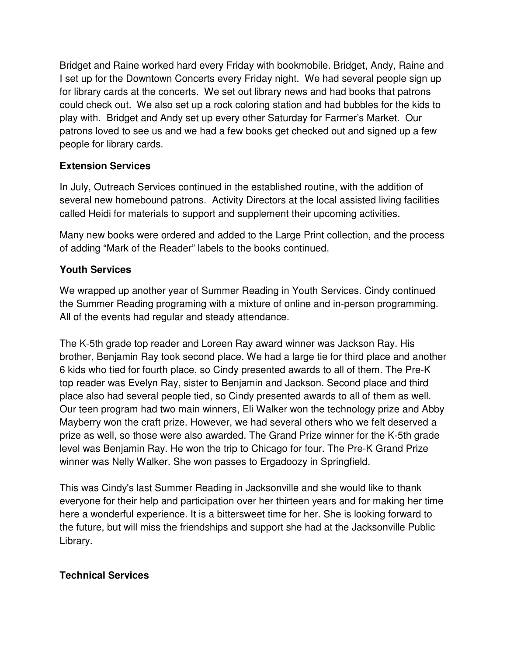Bridget and Raine worked hard every Friday with bookmobile. Bridget, Andy, Raine and I set up for the Downtown Concerts every Friday night. We had several people sign up for library cards at the concerts. We set out library news and had books that patrons could check out. We also set up a rock coloring station and had bubbles for the kids to play with. Bridget and Andy set up every other Saturday for Farmer's Market. Our patrons loved to see us and we had a few books get checked out and signed up a few people for library cards.

## **Extension Services**

In July, Outreach Services continued in the established routine, with the addition of several new homebound patrons. Activity Directors at the local assisted living facilities called Heidi for materials to support and supplement their upcoming activities.

Many new books were ordered and added to the Large Print collection, and the process of adding "Mark of the Reader" labels to the books continued.

# **Youth Services**

We wrapped up another year of Summer Reading in Youth Services. Cindy continued the Summer Reading programing with a mixture of online and in-person programming. All of the events had regular and steady attendance.

The K-5th grade top reader and Loreen Ray award winner was Jackson Ray. His brother, Benjamin Ray took second place. We had a large tie for third place and another 6 kids who tied for fourth place, so Cindy presented awards to all of them. The Pre-K top reader was Evelyn Ray, sister to Benjamin and Jackson. Second place and third place also had several people tied, so Cindy presented awards to all of them as well. Our teen program had two main winners, Eli Walker won the technology prize and Abby Mayberry won the craft prize. However, we had several others who we felt deserved a prize as well, so those were also awarded. The Grand Prize winner for the K-5th grade level was Benjamin Ray. He won the trip to Chicago for four. The Pre-K Grand Prize winner was Nelly Walker. She won passes to Ergadoozy in Springfield.

This was Cindy's last Summer Reading in Jacksonville and she would like to thank everyone for their help and participation over her thirteen years and for making her time here a wonderful experience. It is a bittersweet time for her. She is looking forward to the future, but will miss the friendships and support she had at the Jacksonville Public Library.

# **Technical Services**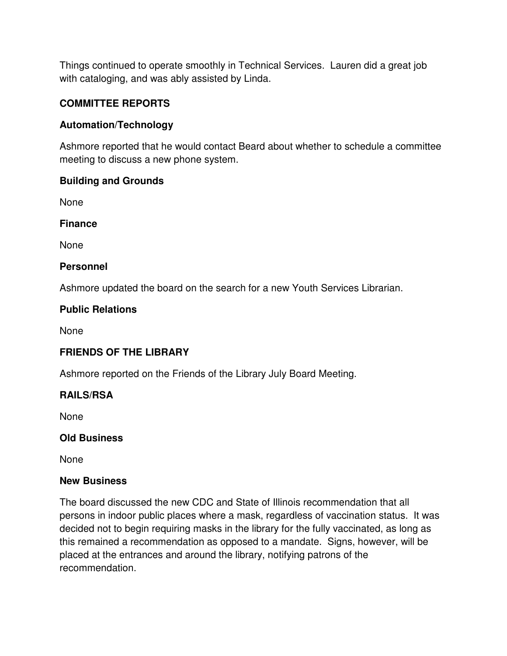Things continued to operate smoothly in Technical Services. Lauren did a great job with cataloging, and was ably assisted by Linda.

## **COMMITTEE REPORTS**

## **Automation/Technology**

Ashmore reported that he would contact Beard about whether to schedule a committee meeting to discuss a new phone system.

#### **Building and Grounds**

None

**Finance** 

None

#### **Personnel**

Ashmore updated the board on the search for a new Youth Services Librarian.

#### **Public Relations**

None

# **FRIENDS OF THE LIBRARY**

Ashmore reported on the Friends of the Library July Board Meeting.

#### **RAILS/RSA**

None

#### **Old Business**

None

#### **New Business**

The board discussed the new CDC and State of Illinois recommendation that all persons in indoor public places where a mask, regardless of vaccination status. It was decided not to begin requiring masks in the library for the fully vaccinated, as long as this remained a recommendation as opposed to a mandate. Signs, however, will be placed at the entrances and around the library, notifying patrons of the recommendation.